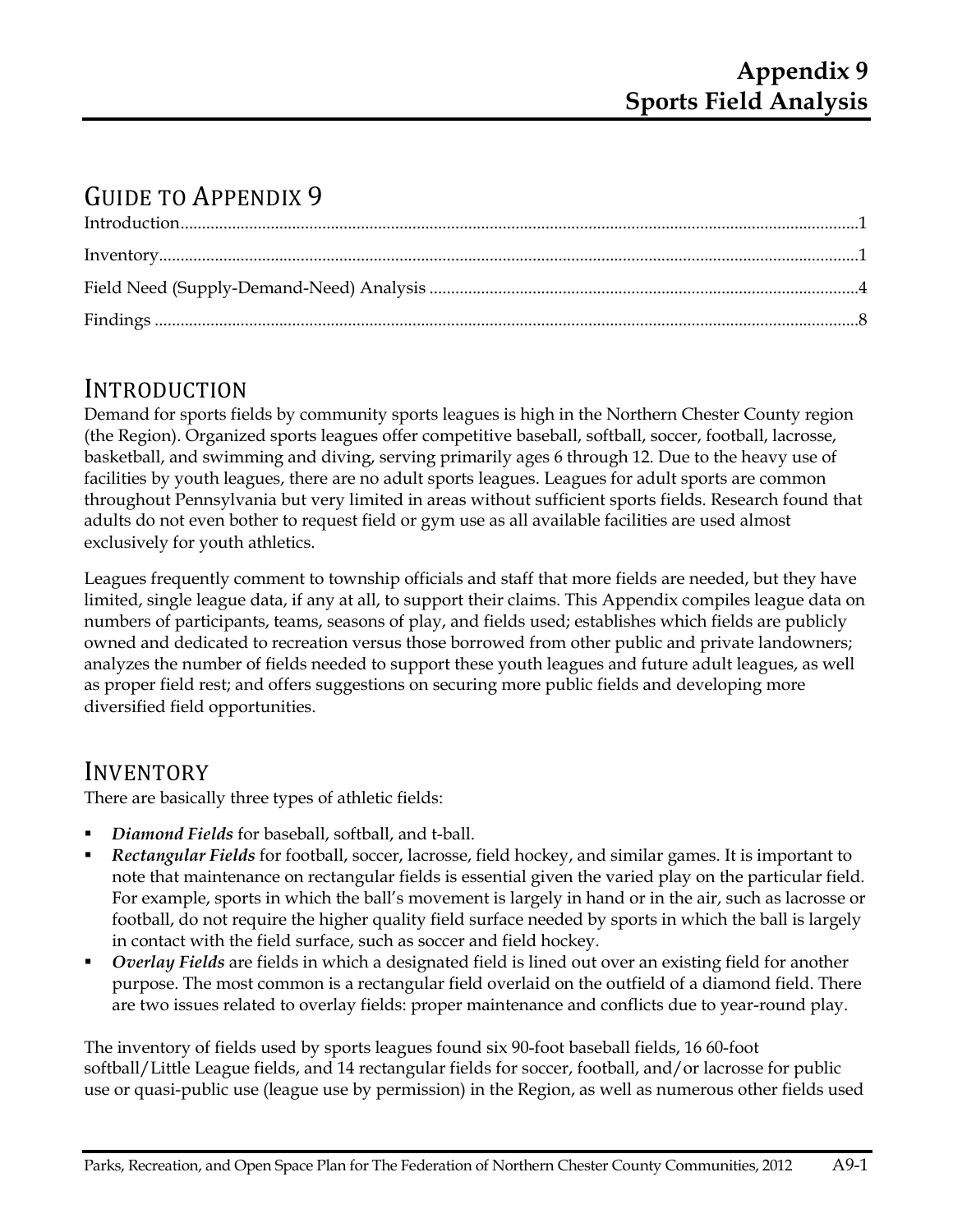# GUIDE TO APPENDIX 9

## INTRODUCTION

Demand for sports fields by community sports leagues is high in the Northern Chester County region (the Region). Organized sports leagues offer competitive baseball, softball, soccer, football, lacrosse, basketball, and swimming and diving, serving primarily ages 6 through 12. Due to the heavy use of facilities by youth leagues, there are no adult sports leagues. Leagues for adult sports are common throughout Pennsylvania but very limited in areas without sufficient sports fields. Research found that adults do not even bother to request field or gym use as all available facilities are used almost exclusively for youth athletics.

Leagues frequently comment to township officials and staff that more fields are needed, but they have limited, single league data, if any at all, to support their claims. This Appendix compiles league data on numbers of participants, teams, seasons of play, and fields used; establishes which fields are publicly owned and dedicated to recreation versus those borrowed from other public and private landowners; analyzes the number of fields needed to support these youth leagues and future adult leagues, as well as proper field rest; and offers suggestions on securing more public fields and developing more diversified field opportunities.

## INVENTORY

There are basically three types of athletic fields:

- *Diamond Fields* for baseball, softball, and t-ball.
- *Rectangular Fields* for football, soccer, lacrosse, field hockey, and similar games. It is important to note that maintenance on rectangular fields is essential given the varied play on the particular field. For example, sports in which the ball's movement is largely in hand or in the air, such as lacrosse or football, do not require the higher quality field surface needed by sports in which the ball is largely in contact with the field surface, such as soccer and field hockey.
- *Overlay Fields* are fields in which a designated field is lined out over an existing field for another purpose. The most common is a rectangular field overlaid on the outfield of a diamond field. There are two issues related to overlay fields: proper maintenance and conflicts due to year-round play.

The inventory of fields used by sports leagues found six 90-foot baseball fields, 16 60-foot softball/Little League fields, and 14 rectangular fields for soccer, football, and/or lacrosse for public use or quasi-public use (league use by permission) in the Region, as well as numerous other fields used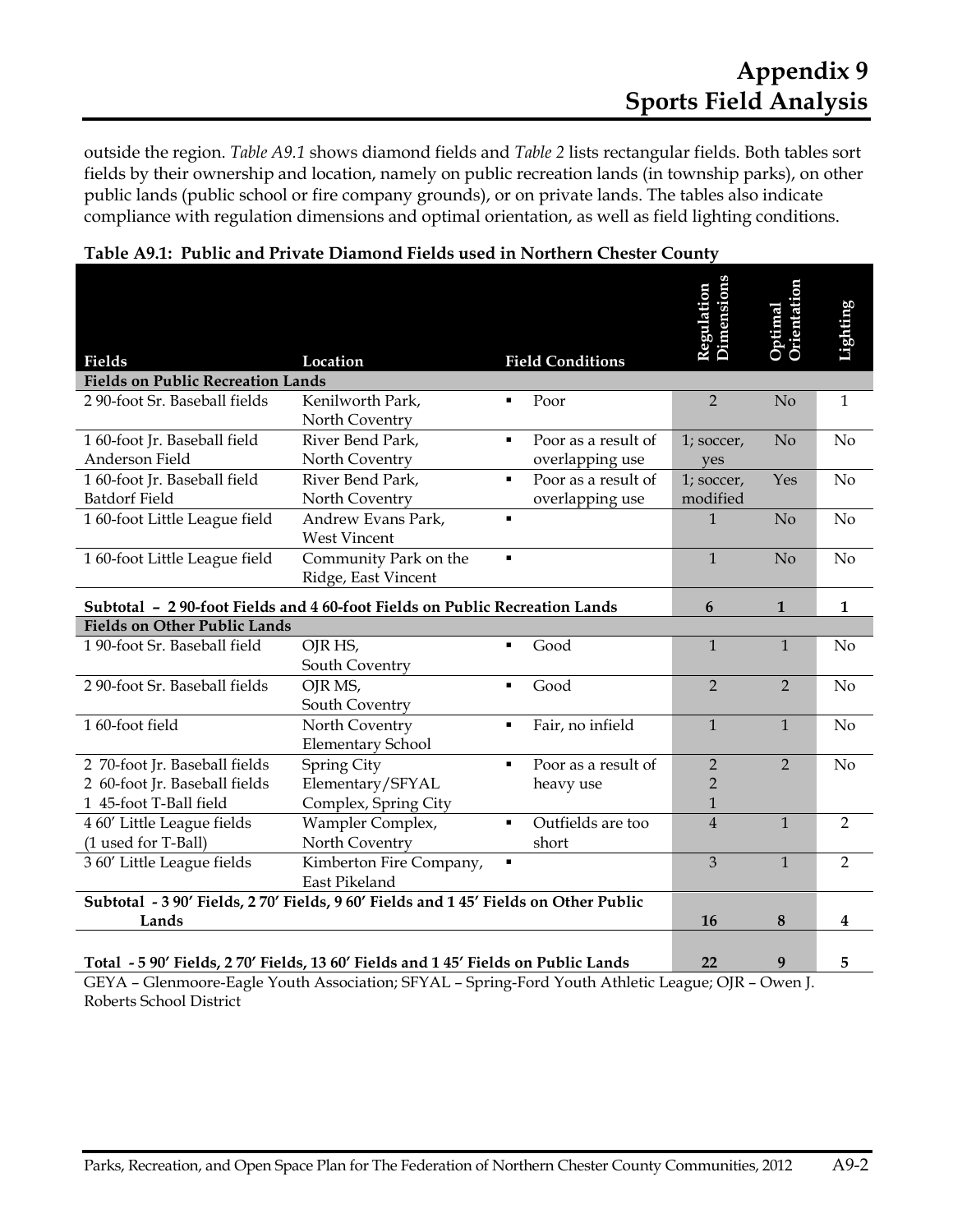outside the region. *Table A9.1* shows diamond fields and *Table 2* lists rectangular fields. Both tables sort fields by their ownership and location, namely on public recreation lands (in township parks), on other public lands (public school or fire company grounds), or on private lands. The tables also indicate compliance with regulation dimensions and optimal orientation, as well as field lighting conditions.

|                                                                                      |                                              |                |                                        | <b>Dimensions</b><br><b>Regulation</b> | <b>Orientation</b><br>Optimal | Lighting       |
|--------------------------------------------------------------------------------------|----------------------------------------------|----------------|----------------------------------------|----------------------------------------|-------------------------------|----------------|
| Fields                                                                               | Location                                     |                | <b>Field Conditions</b>                |                                        |                               |                |
| <b>Fields on Public Recreation Lands</b>                                             |                                              |                |                                        |                                        |                               |                |
| 2 90-foot Sr. Baseball fields                                                        | Kenilworth Park,<br>North Coventry           | $\blacksquare$ | Poor                                   | $\overline{2}$                         | No                            | $\mathbf{1}$   |
| 160-foot Jr. Baseball field<br>Anderson Field                                        | River Bend Park,<br>North Coventry           | $\blacksquare$ | Poor as a result of<br>overlapping use | 1; soccer,<br>yes                      | No                            | N <sub>o</sub> |
| 160-foot Jr. Baseball field<br><b>Batdorf Field</b>                                  | River Bend Park,<br>North Coventry           | $\blacksquare$ | Poor as a result of<br>overlapping use | 1; soccer,<br>modified                 | Yes                           | No             |
| 1 60-foot Little League field                                                        | Andrew Evans Park,<br><b>West Vincent</b>    | $\blacksquare$ |                                        | $\mathbf{1}$                           | No                            | N <sub>o</sub> |
| 1 60-foot Little League field                                                        | Community Park on the<br>Ridge, East Vincent | $\blacksquare$ |                                        | $\mathbf{1}$                           | No                            | No             |
| Subtotal - 290-foot Fields and 460-foot Fields on Public Recreation Lands            |                                              |                |                                        | 6                                      | $\mathbf{1}$                  | $\mathbf{1}$   |
| <b>Fields on Other Public Lands</b>                                                  |                                              |                |                                        |                                        |                               |                |
| 1 90-foot Sr. Baseball field                                                         | OJR HS,<br>South Coventry                    | $\blacksquare$ | Good                                   | $\mathbf{1}$                           | $\mathbf{1}$                  | No             |
| 2 90-foot Sr. Baseball fields                                                        | OJR MS,<br>South Coventry                    | $\blacksquare$ | Good                                   | $\overline{2}$                         | $\overline{2}$                | No             |
| 160-foot field                                                                       | North Coventry<br><b>Elementary School</b>   | $\blacksquare$ | Fair, no infield                       | $\mathbf{1}$                           | $\mathbf{1}$                  | N <sub>o</sub> |
| 2 70-foot Jr. Baseball fields                                                        | Spring City                                  | $\blacksquare$ | Poor as a result of                    | $\overline{2}$                         | $\overline{2}$                | No             |
| 2 60-foot Jr. Baseball fields<br>1 45-foot T-Ball field                              | Elementary/SFYAL<br>Complex, Spring City     |                | heavy use                              | $\overline{2}$<br>$\mathbf{1}$         |                               |                |
| 4 60' Little League fields                                                           | Wampler Complex,                             | $\blacksquare$ | Outfields are too                      | $\overline{4}$                         | $\mathbf{1}$                  | $\overline{2}$ |
| (1 used for T-Ball)                                                                  | North Coventry                               |                | short                                  |                                        |                               |                |
| 3 60' Little League fields                                                           | Kimberton Fire Company,<br>East Pikeland     | $\blacksquare$ |                                        | 3                                      | $\mathbf{1}$                  | $\overline{2}$ |
| Subtotal - 3 90' Fields, 2 70' Fields, 9 60' Fields and 1 45' Fields on Other Public |                                              |                |                                        |                                        |                               |                |
| Lands                                                                                |                                              |                |                                        | 16                                     | 8                             | 4              |
| Total - 5 90' Fields, 2 70' Fields, 13 60' Fields and 1 45' Fields on Public Lands   |                                              |                |                                        | 22                                     | 9                             | 5              |

| Table A9.1: Public and Private Diamond Fields used in Northern Chester County |  |  |  |  |
|-------------------------------------------------------------------------------|--|--|--|--|
|                                                                               |  |  |  |  |

GEYA – Glenmoore-Eagle Youth Association; SFYAL – Spring-Ford Youth Athletic League; OJR – Owen J. Roberts School District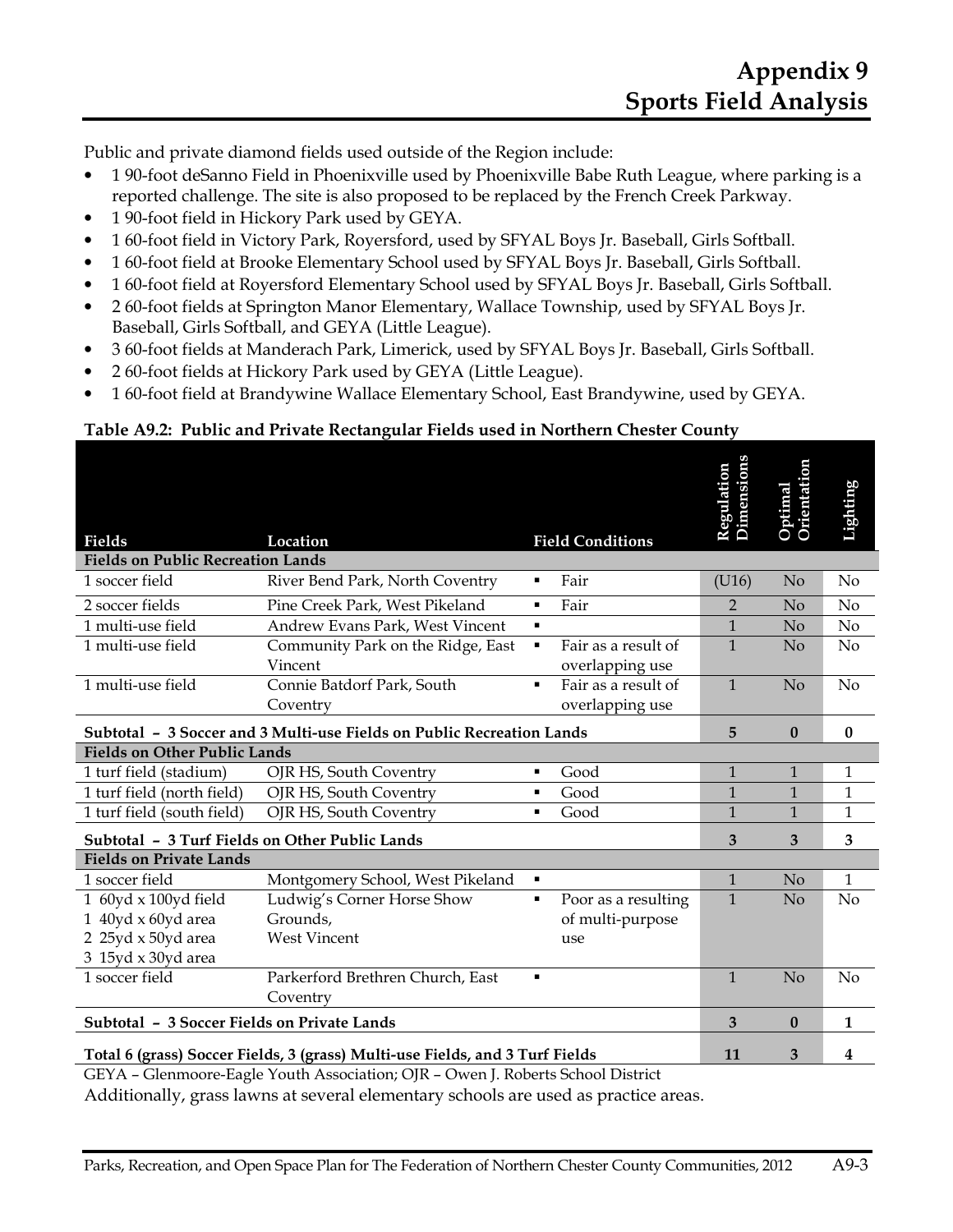Public and private diamond fields used outside of the Region include:

- 1 90-foot deSanno Field in Phoenixville used by Phoenixville Babe Ruth League, where parking is a reported challenge. The site is also proposed to be replaced by the French Creek Parkway.
- 1 90-foot field in Hickory Park used by GEYA.
- 1 60-foot field in Victory Park, Royersford, used by SFYAL Boys Jr. Baseball, Girls Softball.
- 1 60-foot field at Brooke Elementary School used by SFYAL Boys Jr. Baseball, Girls Softball.
- 1 60-foot field at Royersford Elementary School used by SFYAL Boys Jr. Baseball, Girls Softball.
- 2 60-foot fields at Springton Manor Elementary, Wallace Township, used by SFYAL Boys Jr. Baseball, Girls Softball, and GEYA (Little League).
- 3 60-foot fields at Manderach Park, Limerick, used by SFYAL Boys Jr. Baseball, Girls Softball.
- 2 60-foot fields at Hickory Park used by GEYA (Little League).
- 1 60-foot field at Brandywine Wallace Elementary School, East Brandywine, used by GEYA.

#### **Table A9.2: Public and Private Rectangular Fields used in Northern Chester County**

|                                                                              |                                   |                |                         | Regulation<br>Dimensions | Optimal<br>Orientation | Lighting       |
|------------------------------------------------------------------------------|-----------------------------------|----------------|-------------------------|--------------------------|------------------------|----------------|
| Fields                                                                       | Location                          |                | <b>Field Conditions</b> |                          |                        |                |
| <b>Fields on Public Recreation Lands</b>                                     |                                   |                |                         |                          |                        |                |
| 1 soccer field                                                               | River Bend Park, North Coventry   | ٠              | Fair                    | (U16)                    | No                     | No             |
| 2 soccer fields                                                              | Pine Creek Park, West Pikeland    | ٠              | Fair                    | $\mathcal{P}$            | No                     | N <sub>o</sub> |
| 1 multi-use field                                                            | Andrew Evans Park, West Vincent   | $\blacksquare$ |                         | $\mathbf{1}$             | No                     | N <sub>o</sub> |
| 1 multi-use field                                                            | Community Park on the Ridge, East | ٠              | Fair as a result of     | $\mathbf{1}$             | No                     | No             |
|                                                                              | Vincent                           |                | overlapping use         |                          |                        |                |
| 1 multi-use field                                                            | Connie Batdorf Park, South        | $\blacksquare$ | Fair as a result of     | $\mathbf{1}$             | No                     | No             |
|                                                                              | Coventry                          |                | overlapping use         |                          |                        |                |
| Subtotal - 3 Soccer and 3 Multi-use Fields on Public Recreation Lands        | 5                                 | $\mathbf{0}$   | $\mathbf{0}$            |                          |                        |                |
| <b>Fields on Other Public Lands</b>                                          |                                   |                |                         |                          |                        |                |
| 1 turf field (stadium)                                                       | OJR HS, South Coventry            | ٠              | Good                    | $\mathbf{1}$             | $\mathbf{1}$           | 1              |
| 1 turf field (north field)                                                   | OJR HS, South Coventry            | $\blacksquare$ | Good                    | $\mathbf{1}$             | $\mathbf{1}$           | $\mathbf{1}$   |
| 1 turf field (south field)                                                   | OJR HS, South Coventry            | ٠              | Good                    | $\mathbf{1}$             | $\mathbf{1}$           | 1              |
| Subtotal - 3 Turf Fields on Other Public Lands                               |                                   |                |                         | 3                        | 3                      | 3              |
| <b>Fields on Private Lands</b>                                               |                                   |                |                         |                          |                        |                |
| 1 soccer field                                                               | Montgomery School, West Pikeland  | $\blacksquare$ |                         | $\mathbf{1}$             | No                     | $\mathbf{1}$   |
| 1 60yd x 100yd field                                                         | Ludwig's Corner Horse Show        | $\blacksquare$ | Poor as a resulting     | $\mathbf{1}$             | No                     | N <sub>o</sub> |
| 1 40yd x 60yd area                                                           | Grounds,                          |                | of multi-purpose        |                          |                        |                |
| 2 25yd x 50yd area                                                           | <b>West Vincent</b>               |                | use                     |                          |                        |                |
| 3 15yd x 30yd area                                                           |                                   |                |                         |                          |                        |                |
| 1 soccer field                                                               | Parkerford Brethren Church, East  | $\blacksquare$ |                         | $\mathbf{1}$             | No                     | No             |
|                                                                              | Coventry                          |                |                         |                          |                        |                |
| Subtotal - 3 Soccer Fields on Private Lands                                  |                                   |                |                         | 3                        | $\mathbf{0}$           | 1              |
| Total 6 (grass) Soccer Fields, 3 (grass) Multi-use Fields, and 3 Turf Fields | 11                                | 3              | 4                       |                          |                        |                |

GEYA – Glenmoore-Eagle Youth Association; OJR – Owen J. Roberts School District

Additionally, grass lawns at several elementary schools are used as practice areas.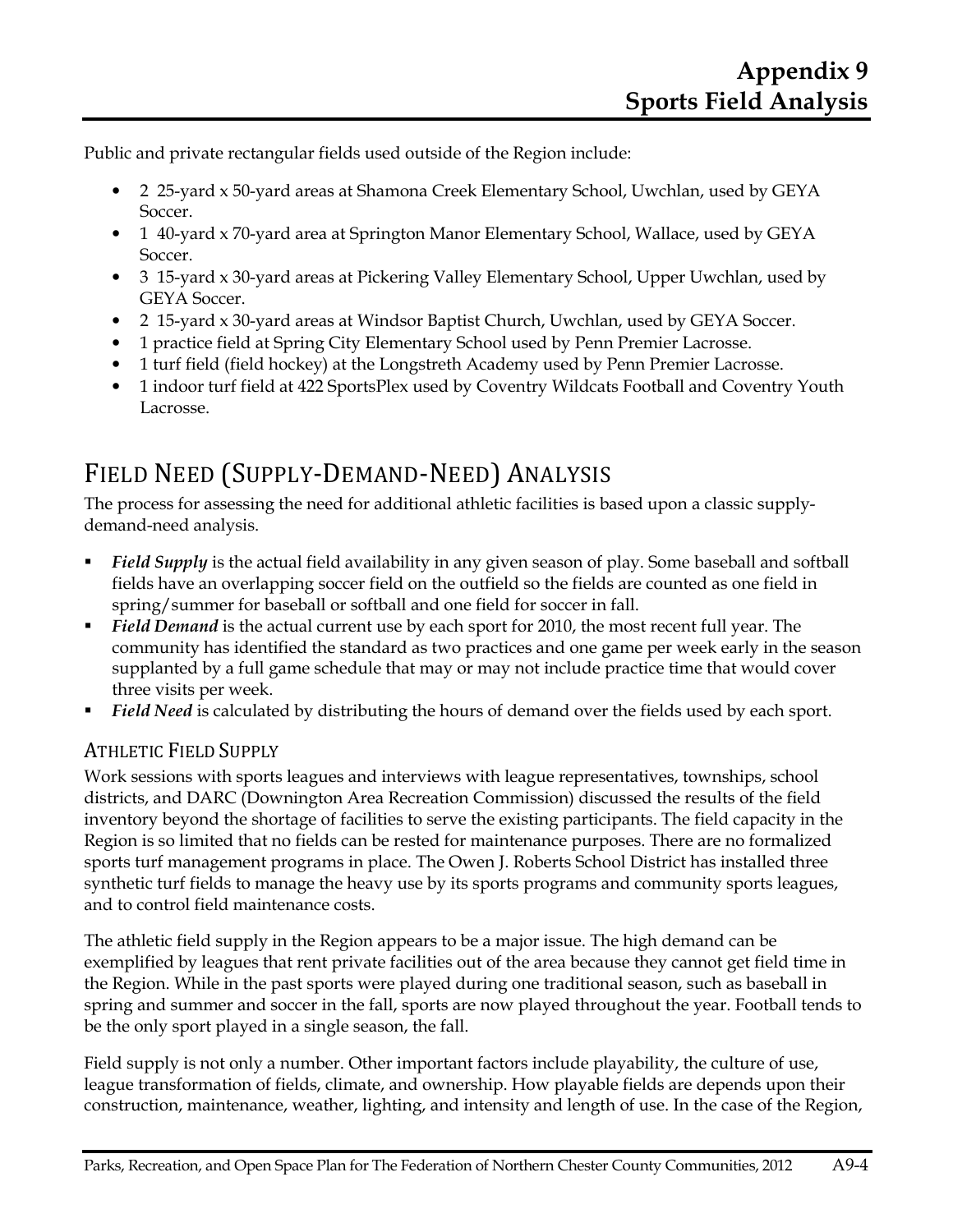Public and private rectangular fields used outside of the Region include:

- 2 25-yard x 50-yard areas at Shamona Creek Elementary School, Uwchlan, used by GEYA Soccer.
- 1 40-yard x 70-yard area at Springton Manor Elementary School, Wallace, used by GEYA Soccer.
- 3 15-yard x 30-yard areas at Pickering Valley Elementary School, Upper Uwchlan, used by GEYA Soccer.
- 2 15-yard x 30-yard areas at Windsor Baptist Church, Uwchlan, used by GEYA Soccer.
- 1 practice field at Spring City Elementary School used by Penn Premier Lacrosse.
- 1 turf field (field hockey) at the Longstreth Academy used by Penn Premier Lacrosse.
- 1 indoor turf field at 422 SportsPlex used by Coventry Wildcats Football and Coventry Youth Lacrosse.

## FIELD NEED (SUPPLY-DEMAND-NEED) ANALYSIS

The process for assessing the need for additional athletic facilities is based upon a classic supplydemand-need analysis.

- **Field Supply** is the actual field availability in any given season of play. Some baseball and softball fields have an overlapping soccer field on the outfield so the fields are counted as one field in spring/summer for baseball or softball and one field for soccer in fall.
- *Field Demand* is the actual current use by each sport for 2010, the most recent full year. The community has identified the standard as two practices and one game per week early in the season supplanted by a full game schedule that may or may not include practice time that would cover three visits per week.
- *Field Need* is calculated by distributing the hours of demand over the fields used by each sport.

## ATHLETIC FIELD SUPPLY

Work sessions with sports leagues and interviews with league representatives, townships, school districts, and DARC (Downington Area Recreation Commission) discussed the results of the field inventory beyond the shortage of facilities to serve the existing participants. The field capacity in the Region is so limited that no fields can be rested for maintenance purposes. There are no formalized sports turf management programs in place. The Owen J. Roberts School District has installed three synthetic turf fields to manage the heavy use by its sports programs and community sports leagues, and to control field maintenance costs.

The athletic field supply in the Region appears to be a major issue. The high demand can be exemplified by leagues that rent private facilities out of the area because they cannot get field time in the Region. While in the past sports were played during one traditional season, such as baseball in spring and summer and soccer in the fall, sports are now played throughout the year. Football tends to be the only sport played in a single season, the fall.

Field supply is not only a number. Other important factors include playability, the culture of use, league transformation of fields, climate, and ownership. How playable fields are depends upon their construction, maintenance, weather, lighting, and intensity and length of use. In the case of the Region,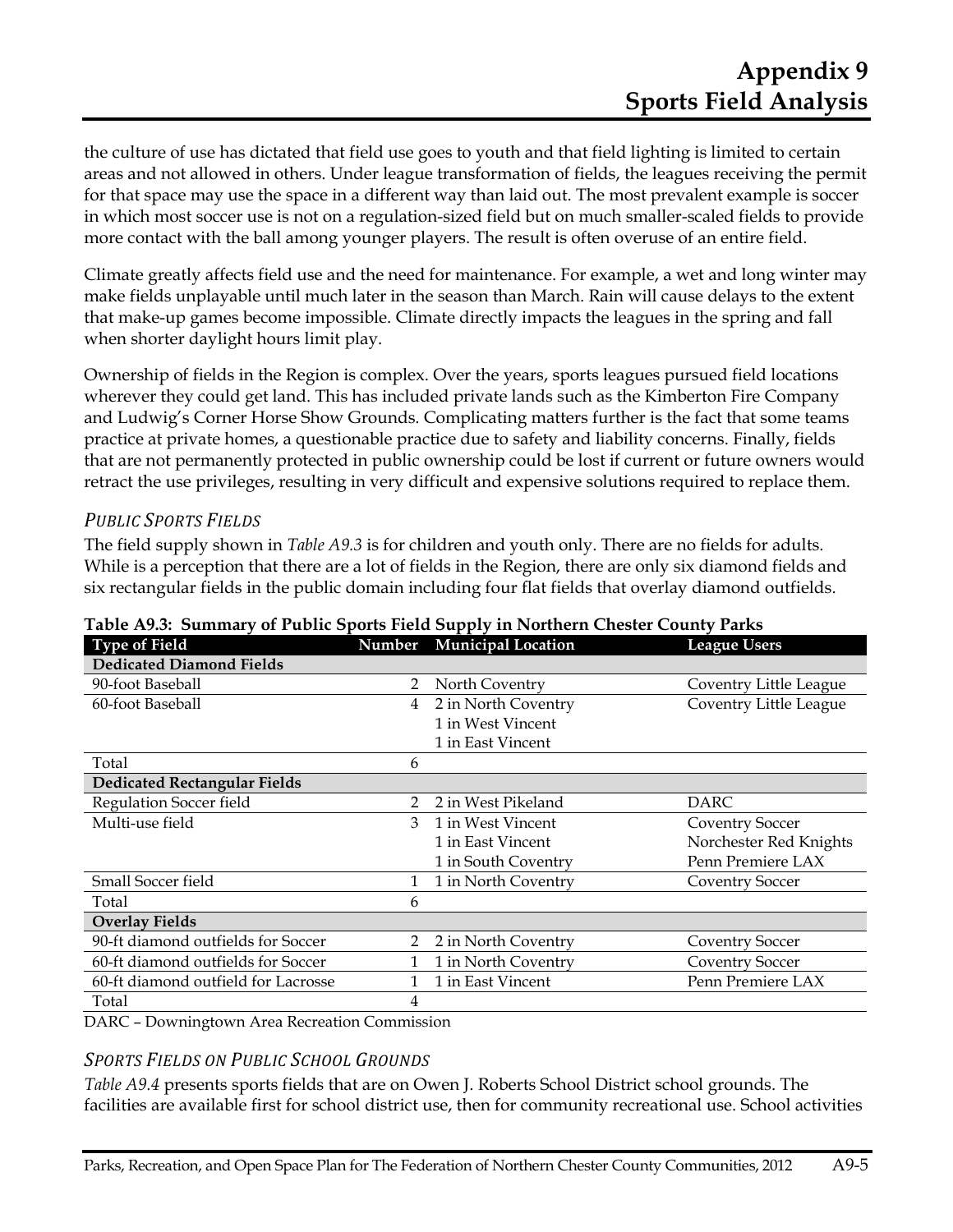the culture of use has dictated that field use goes to youth and that field lighting is limited to certain areas and not allowed in others. Under league transformation of fields, the leagues receiving the permit for that space may use the space in a different way than laid out. The most prevalent example is soccer in which most soccer use is not on a regulation-sized field but on much smaller-scaled fields to provide more contact with the ball among younger players. The result is often overuse of an entire field.

Climate greatly affects field use and the need for maintenance. For example, a wet and long winter may make fields unplayable until much later in the season than March. Rain will cause delays to the extent that make-up games become impossible. Climate directly impacts the leagues in the spring and fall when shorter daylight hours limit play.

Ownership of fields in the Region is complex. Over the years, sports leagues pursued field locations wherever they could get land. This has included private lands such as the Kimberton Fire Company and Ludwig's Corner Horse Show Grounds. Complicating matters further is the fact that some teams practice at private homes, a questionable practice due to safety and liability concerns. Finally, fields that are not permanently protected in public ownership could be lost if current or future owners would retract the use privileges, resulting in very difficult and expensive solutions required to replace them.

### *PUBLIC SPORTS FIELDS*

The field supply shown in *Table A9.3* is for children and youth only. There are no fields for adults. While is a perception that there are a lot of fields in the Region, there are only six diamond fields and six rectangular fields in the public domain including four flat fields that overlay diamond outfields.

| <b>Type of Field</b>                |                | Number Municipal Location | <b>League Users</b>    |
|-------------------------------------|----------------|---------------------------|------------------------|
| <b>Dedicated Diamond Fields</b>     |                |                           |                        |
| 90-foot Baseball                    | 2              | North Coventry            | Coventry Little League |
| 60-foot Baseball                    | 4              | 2 in North Coventry       | Coventry Little League |
|                                     |                | 1 in West Vincent         |                        |
|                                     |                | 1 in East Vincent         |                        |
| Total                               | 6              |                           |                        |
| <b>Dedicated Rectangular Fields</b> |                |                           |                        |
| Regulation Soccer field             | 2              | 2 in West Pikeland        | DARC                   |
| Multi-use field                     | 3              | 1 in West Vincent         | Coventry Soccer        |
|                                     |                | 1 in East Vincent         | Norchester Red Knights |
|                                     |                | 1 in South Coventry       | Penn Premiere LAX      |
| Small Soccer field                  |                | 1 in North Coventry       | Coventry Soccer        |
| Total                               | 6              |                           |                        |
| <b>Overlay Fields</b>               |                |                           |                        |
| 90-ft diamond outfields for Soccer  | $\overline{2}$ | 2 in North Coventry       | Coventry Soccer        |
| 60-ft diamond outfields for Soccer  |                | 1 in North Coventry       | Coventry Soccer        |
| 60-ft diamond outfield for Lacrosse |                | 1 in East Vincent         | Penn Premiere LAX      |
| Total                               | 4              |                           |                        |

**Table A9.3: Summary of Public Sports Field Supply in Northern Chester County Parks** 

DARC – Downingtown Area Recreation Commission

#### *SPORTS FIELDS ON PUBLIC SCHOOL GROUNDS*

*Table A9.4* presents sports fields that are on Owen J. Roberts School District school grounds. The facilities are available first for school district use, then for community recreational use. School activities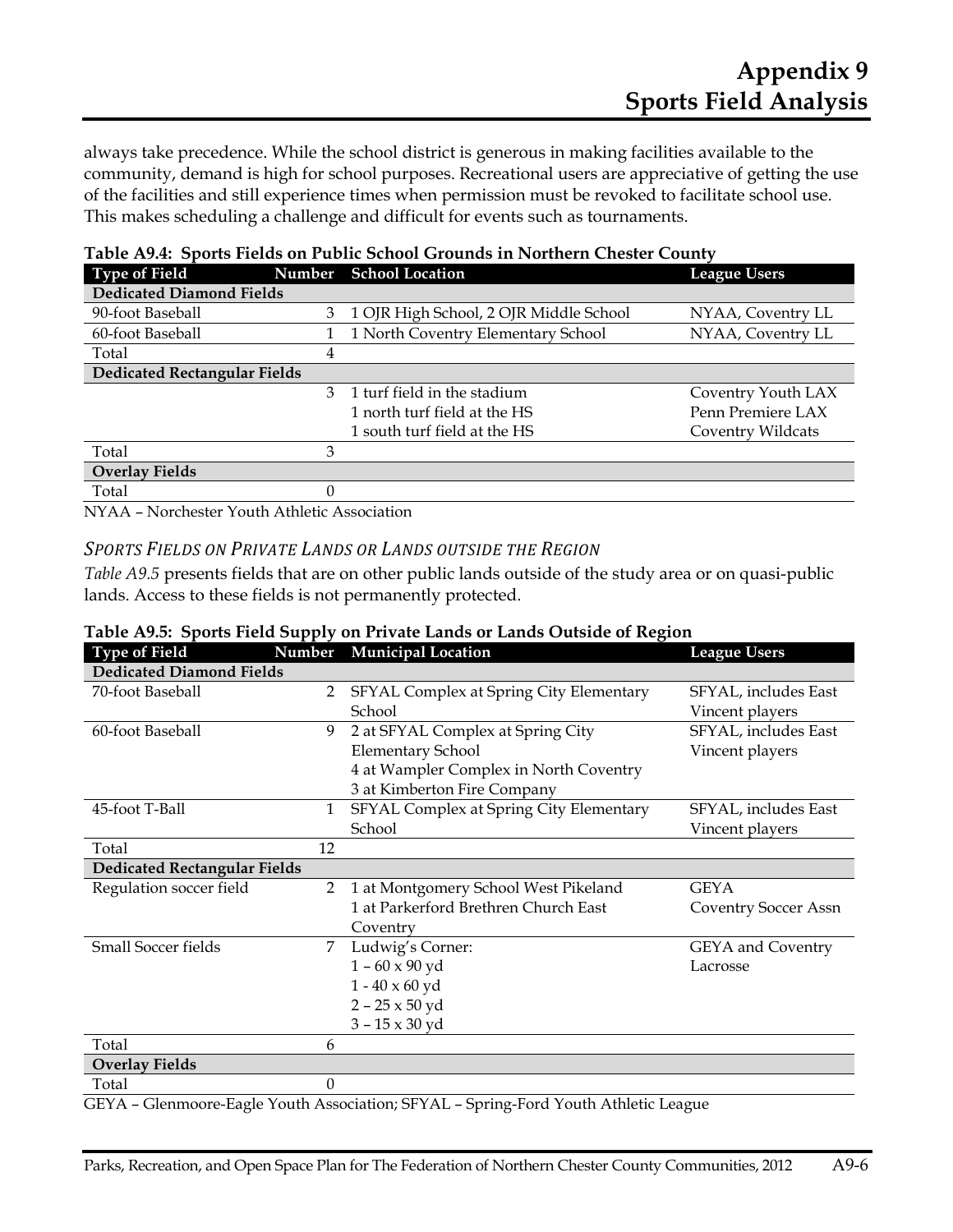always take precedence. While the school district is generous in making facilities available to the community, demand is high for school purposes. Recreational users are appreciative of getting the use of the facilities and still experience times when permission must be revoked to facilitate school use. This makes scheduling a challenge and difficult for events such as tournaments.

| <b>Type of Field</b>                |   | Number School Location                 | <b>League Users</b> |
|-------------------------------------|---|----------------------------------------|---------------------|
| <b>Dedicated Diamond Fields</b>     |   |                                        |                     |
| 90-foot Baseball                    | 3 | 1 OJR High School, 2 OJR Middle School | NYAA, Coventry LL   |
| 60-foot Baseball                    |   | 1 North Coventry Elementary School     | NYAA, Coventry LL   |
| Total                               | 4 |                                        |                     |
| <b>Dedicated Rectangular Fields</b> |   |                                        |                     |
|                                     | 3 | 1 turf field in the stadium            | Coventry Youth LAX  |
|                                     |   | 1 north turf field at the HS           | Penn Premiere LAX   |
|                                     |   | 1 south turf field at the HS           | Coventry Wildcats   |
| Total                               | 3 |                                        |                     |
| <b>Overlay Fields</b>               |   |                                        |                     |
| Total                               |   |                                        |                     |

|  |  |  |  |  | Table A9.4: Sports Fields on Public School Grounds in Northern Chester County |
|--|--|--|--|--|-------------------------------------------------------------------------------|
|--|--|--|--|--|-------------------------------------------------------------------------------|

NYAA – Norchester Youth Athletic Association

#### *SPORTS FIELDS ON PRIVATE LANDS OR LANDS OUTSIDE THE REGION*

*Table A9.5* presents fields that are on other public lands outside of the study area or on quasi-public lands. Access to these fields is not permanently protected.

|  |  | Table A9.5: Sports Field Supply on Private Lands or Lands Outside of Region |  |
|--|--|-----------------------------------------------------------------------------|--|
|  |  |                                                                             |  |

| <b>Type of Field</b>                | Number         | <b>Municipal Location</b>               | <b>League Users</b>      |
|-------------------------------------|----------------|-----------------------------------------|--------------------------|
| <b>Dedicated Diamond Fields</b>     |                |                                         |                          |
| 70-foot Baseball                    | 2              | SFYAL Complex at Spring City Elementary | SFYAL, includes East     |
|                                     |                | School                                  | Vincent players          |
| 60-foot Baseball                    | 9              | 2 at SFYAL Complex at Spring City       | SFYAL, includes East     |
|                                     |                | Elementary School                       | Vincent players          |
|                                     |                | 4 at Wampler Complex in North Coventry  |                          |
|                                     |                | 3 at Kimberton Fire Company             |                          |
| 45-foot T-Ball                      | 1              | SFYAL Complex at Spring City Elementary | SFYAL, includes East     |
|                                     |                | School                                  | Vincent players          |
| Total                               | 12             |                                         |                          |
| <b>Dedicated Rectangular Fields</b> |                |                                         |                          |
| Regulation soccer field             | $\overline{2}$ | 1 at Montgomery School West Pikeland    | <b>GEYA</b>              |
|                                     |                | 1 at Parkerford Brethren Church East    | Coventry Soccer Assn     |
|                                     |                | Coventry                                |                          |
| <b>Small Soccer fields</b>          | 7              | Ludwig's Corner:                        | <b>GEYA</b> and Coventry |
|                                     |                | $1 - 60 \times 90$ yd                   | Lacrosse                 |
|                                     |                | $1 - 40 \times 60$ yd                   |                          |
|                                     |                | $2 - 25 \times 50$ yd                   |                          |
|                                     |                | $3 - 15 \times 30$ yd                   |                          |
| Total                               | 6              |                                         |                          |
| <b>Overlay Fields</b>               |                |                                         |                          |
| Total                               | $\theta$       |                                         |                          |

GEYA – Glenmoore-Eagle Youth Association; SFYAL – Spring-Ford Youth Athletic League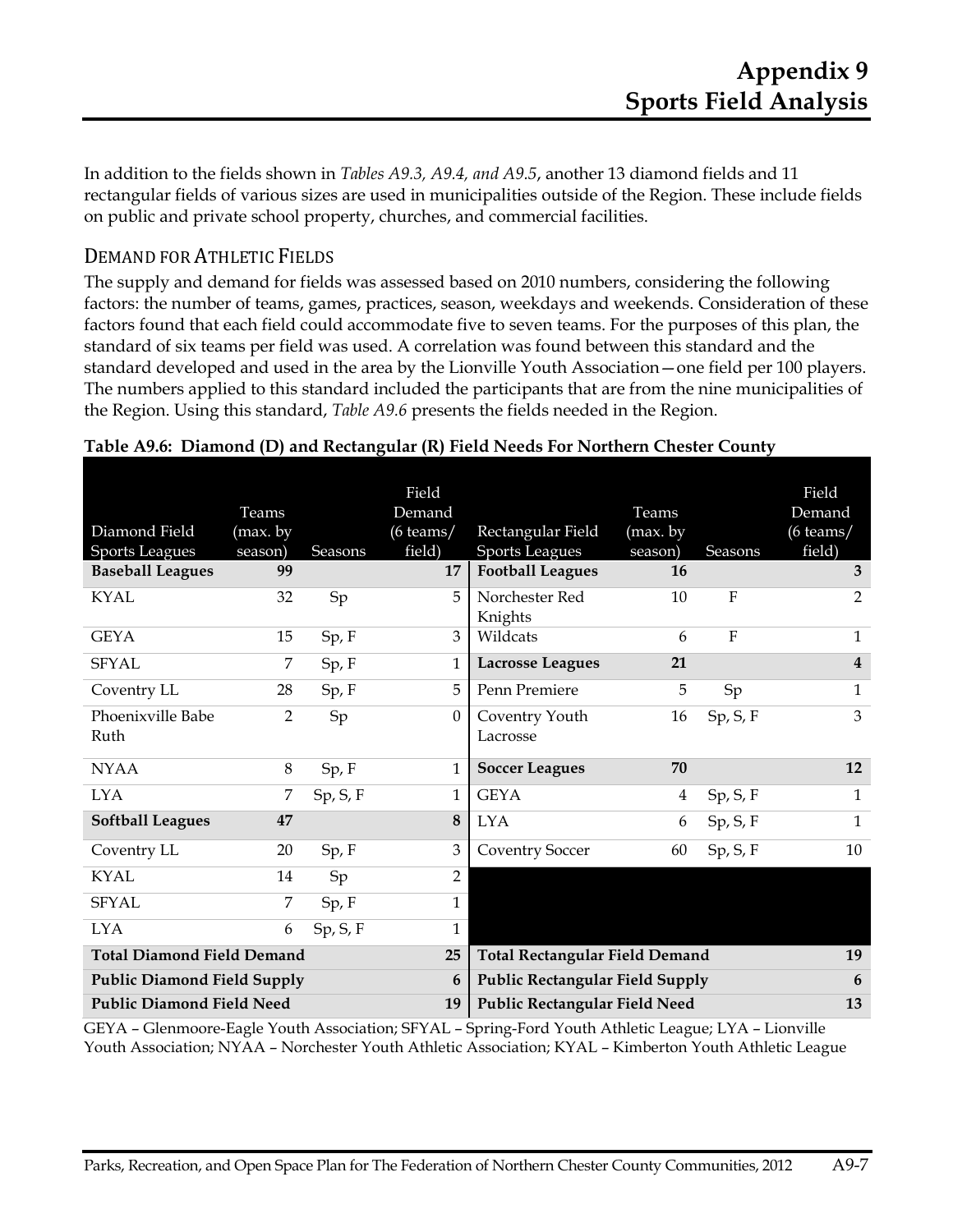In addition to the fields shown in *Tables A9.3, A9.4, and A9.5*, another 13 diamond fields and 11 rectangular fields of various sizes are used in municipalities outside of the Region. These include fields on public and private school property, churches, and commercial facilities.

## DEMAND FOR ATHLETIC FIELDS

The supply and demand for fields was assessed based on 2010 numbers, considering the following factors: the number of teams, games, practices, season, weekdays and weekends. Consideration of these factors found that each field could accommodate five to seven teams. For the purposes of this plan, the standard of six teams per field was used. A correlation was found between this standard and the standard developed and used in the area by the Lionville Youth Association—one field per 100 players. The numbers applied to this standard included the participants that are from the nine municipalities of the Region. Using this standard, *Table A9.6* presents the fields needed in the Region.

| Diamond Field<br><b>Sports Leagues</b> | Teams<br>(max. by<br>season) | <b>Seasons</b> | Field<br>Demand<br>$(6 \text{ teams} / )$<br>field) | Rectangular Field<br><b>Sports Leagues</b> | Teams<br>(max. by<br>season) | Seasons        | Field<br>Demand<br>$(6 \text{ teams}/$<br>field) |
|----------------------------------------|------------------------------|----------------|-----------------------------------------------------|--------------------------------------------|------------------------------|----------------|--------------------------------------------------|
| <b>Baseball Leagues</b>                | 99                           |                | 17                                                  | <b>Football Leagues</b>                    | 16                           |                | 3                                                |
| <b>KYAL</b>                            | 32                           | Sp             | 5                                                   | Norchester Red<br>Knights                  | 10                           | F              | 2                                                |
| <b>GEYA</b>                            | 15                           | Sp, F          | 3                                                   | Wildcats                                   | 6                            | $\overline{F}$ | $\mathbf{1}$                                     |
| <b>SFYAL</b>                           | 7                            | Sp, F          | 1                                                   | <b>Lacrosse Leagues</b>                    | 21                           |                | $\overline{\mathbf{4}}$                          |
| Coventry LL                            | 28                           | Sp, F          | 5                                                   | Penn Premiere                              | 5                            | Sp             | $\mathbf{1}$                                     |
| Phoenixville Babe<br>Ruth              | $\overline{2}$               | Sp             | 0                                                   | Coventry Youth<br>Lacrosse                 | 16                           | Sp, S, F       | 3                                                |
| <b>NYAA</b>                            | 8                            | Sp, F          | 1                                                   | <b>Soccer Leagues</b>                      | 70                           |                | 12                                               |
| <b>LYA</b>                             | 7                            | Sp, S, F       | 1                                                   | <b>GEYA</b>                                | 4                            | Sp, S, F       | $\mathbf{1}$                                     |
| <b>Softball Leagues</b>                | 47                           |                | 8                                                   | <b>LYA</b>                                 | 6                            | Sp, S, F       | $\mathbf{1}$                                     |
| Coventry LL                            | 20                           | Sp, F          | 3                                                   | <b>Coventry Soccer</b>                     | 60                           | Sp, S, F       | 10                                               |
| KYAL                                   | 14                           | Sp             | $\overline{2}$                                      |                                            |                              |                |                                                  |
| <b>SFYAL</b>                           | 7                            | Sp, F          | $\mathbf{1}$                                        |                                            |                              |                |                                                  |
| <b>LYA</b>                             | 6                            | Sp, S, F       | 1                                                   |                                            |                              |                |                                                  |
| <b>Total Diamond Field Demand</b>      |                              |                | 25                                                  | <b>Total Rectangular Field Demand</b>      |                              |                | 19                                               |
| <b>Public Diamond Field Supply</b>     |                              |                | 6                                                   | <b>Public Rectangular Field Supply</b>     |                              |                | 6                                                |
| <b>Public Diamond Field Need</b>       |                              |                | 19                                                  | Public Rectangular Field Need              |                              |                | 13                                               |

#### **Table A9.6: Diamond (D) and Rectangular (R) Field Needs For Northern Chester County**

GEYA – Glenmoore-Eagle Youth Association; SFYAL – Spring-Ford Youth Athletic League; LYA – Lionville Youth Association; NYAA – Norchester Youth Athletic Association; KYAL – Kimberton Youth Athletic League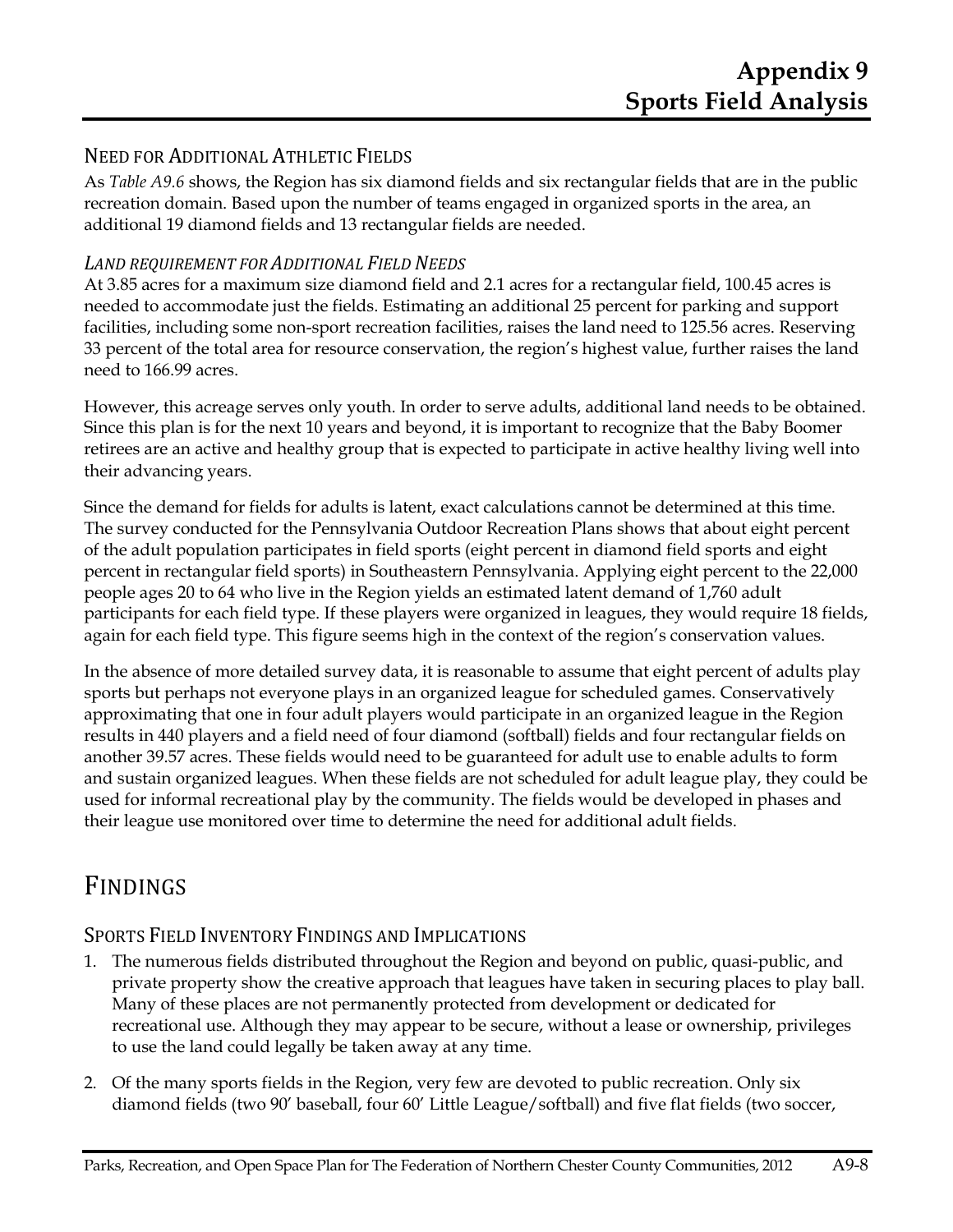## NEED FOR ADDITIONAL ATHLETIC FIELDS

As *Table A9.6* shows, the Region has six diamond fields and six rectangular fields that are in the public recreation domain. Based upon the number of teams engaged in organized sports in the area, an additional 19 diamond fields and 13 rectangular fields are needed.

### *LAND REQUIREMENT FOR ADDITIONAL FIELD NEEDS*

At 3.85 acres for a maximum size diamond field and 2.1 acres for a rectangular field, 100.45 acres is needed to accommodate just the fields. Estimating an additional 25 percent for parking and support facilities, including some non-sport recreation facilities, raises the land need to 125.56 acres. Reserving 33 percent of the total area for resource conservation, the region's highest value, further raises the land need to 166.99 acres.

However, this acreage serves only youth. In order to serve adults, additional land needs to be obtained. Since this plan is for the next 10 years and beyond, it is important to recognize that the Baby Boomer retirees are an active and healthy group that is expected to participate in active healthy living well into their advancing years.

Since the demand for fields for adults is latent, exact calculations cannot be determined at this time. The survey conducted for the Pennsylvania Outdoor Recreation Plans shows that about eight percent of the adult population participates in field sports (eight percent in diamond field sports and eight percent in rectangular field sports) in Southeastern Pennsylvania. Applying eight percent to the 22,000 people ages 20 to 64 who live in the Region yields an estimated latent demand of 1,760 adult participants for each field type. If these players were organized in leagues, they would require 18 fields, again for each field type. This figure seems high in the context of the region's conservation values.

In the absence of more detailed survey data, it is reasonable to assume that eight percent of adults play sports but perhaps not everyone plays in an organized league for scheduled games. Conservatively approximating that one in four adult players would participate in an organized league in the Region results in 440 players and a field need of four diamond (softball) fields and four rectangular fields on another 39.57 acres. These fields would need to be guaranteed for adult use to enable adults to form and sustain organized leagues. When these fields are not scheduled for adult league play, they could be used for informal recreational play by the community. The fields would be developed in phases and their league use monitored over time to determine the need for additional adult fields.

# FINDINGS

## SPORTS FIELD INVENTORY FINDINGS AND IMPLICATIONS

- 1. The numerous fields distributed throughout the Region and beyond on public, quasi-public, and private property show the creative approach that leagues have taken in securing places to play ball. Many of these places are not permanently protected from development or dedicated for recreational use. Although they may appear to be secure, without a lease or ownership, privileges to use the land could legally be taken away at any time.
- 2. Of the many sports fields in the Region, very few are devoted to public recreation. Only six diamond fields (two 90' baseball, four 60' Little League/softball) and five flat fields (two soccer,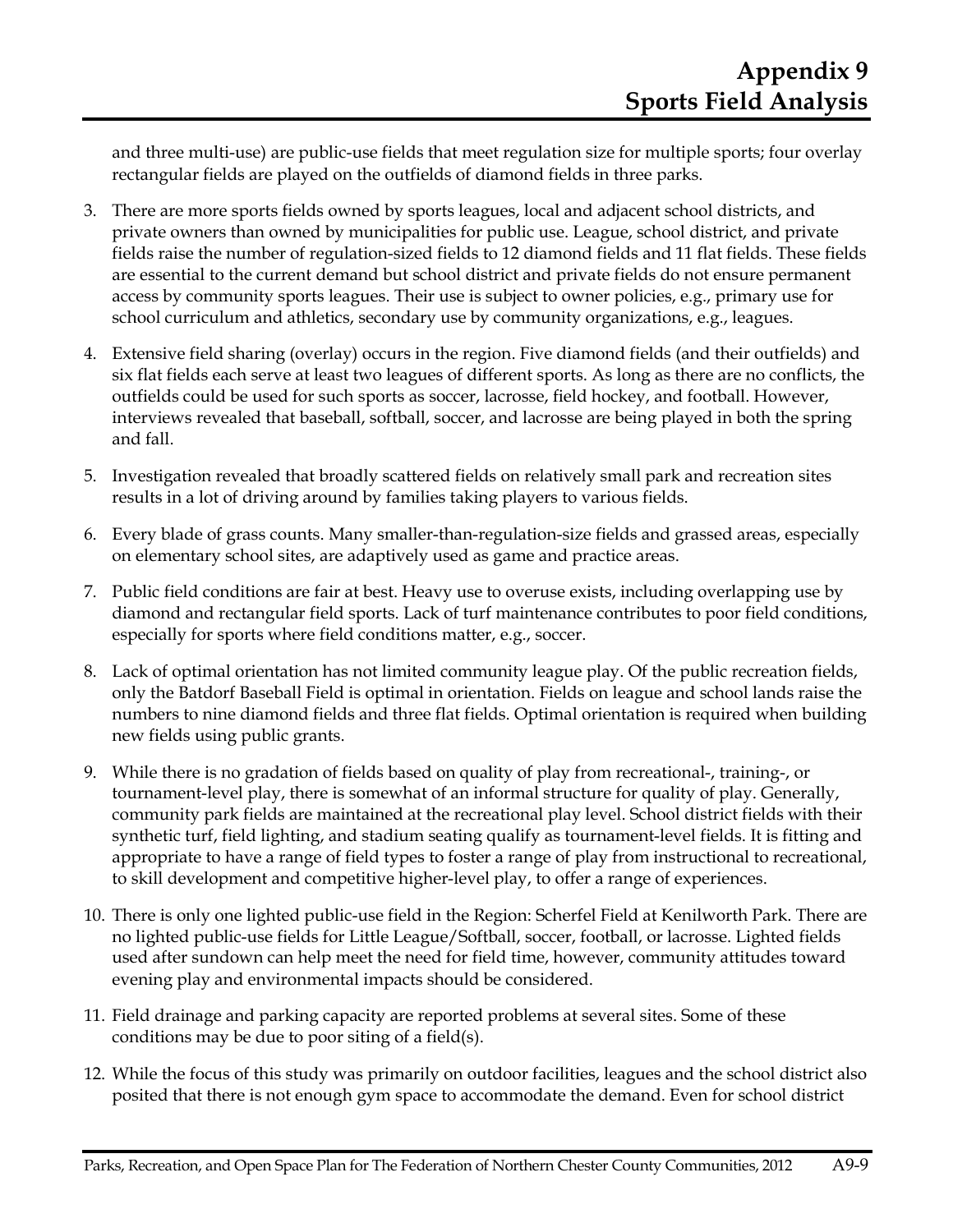and three multi-use) are public-use fields that meet regulation size for multiple sports; four overlay rectangular fields are played on the outfields of diamond fields in three parks.

- 3. There are more sports fields owned by sports leagues, local and adjacent school districts, and private owners than owned by municipalities for public use. League, school district, and private fields raise the number of regulation-sized fields to 12 diamond fields and 11 flat fields. These fields are essential to the current demand but school district and private fields do not ensure permanent access by community sports leagues. Their use is subject to owner policies, e.g., primary use for school curriculum and athletics, secondary use by community organizations, e.g., leagues.
- 4. Extensive field sharing (overlay) occurs in the region. Five diamond fields (and their outfields) and six flat fields each serve at least two leagues of different sports. As long as there are no conflicts, the outfields could be used for such sports as soccer, lacrosse, field hockey, and football. However, interviews revealed that baseball, softball, soccer, and lacrosse are being played in both the spring and fall.
- 5. Investigation revealed that broadly scattered fields on relatively small park and recreation sites results in a lot of driving around by families taking players to various fields.
- 6. Every blade of grass counts. Many smaller-than-regulation-size fields and grassed areas, especially on elementary school sites, are adaptively used as game and practice areas.
- 7. Public field conditions are fair at best. Heavy use to overuse exists, including overlapping use by diamond and rectangular field sports. Lack of turf maintenance contributes to poor field conditions, especially for sports where field conditions matter, e.g., soccer.
- 8. Lack of optimal orientation has not limited community league play. Of the public recreation fields, only the Batdorf Baseball Field is optimal in orientation. Fields on league and school lands raise the numbers to nine diamond fields and three flat fields. Optimal orientation is required when building new fields using public grants.
- 9. While there is no gradation of fields based on quality of play from recreational-, training-, or tournament-level play, there is somewhat of an informal structure for quality of play. Generally, community park fields are maintained at the recreational play level. School district fields with their synthetic turf, field lighting, and stadium seating qualify as tournament-level fields. It is fitting and appropriate to have a range of field types to foster a range of play from instructional to recreational, to skill development and competitive higher-level play, to offer a range of experiences.
- 10. There is only one lighted public-use field in the Region: Scherfel Field at Kenilworth Park. There are no lighted public-use fields for Little League/Softball, soccer, football, or lacrosse. Lighted fields used after sundown can help meet the need for field time, however, community attitudes toward evening play and environmental impacts should be considered.
- 11. Field drainage and parking capacity are reported problems at several sites. Some of these conditions may be due to poor siting of a field(s).
- 12. While the focus of this study was primarily on outdoor facilities, leagues and the school district also posited that there is not enough gym space to accommodate the demand. Even for school district